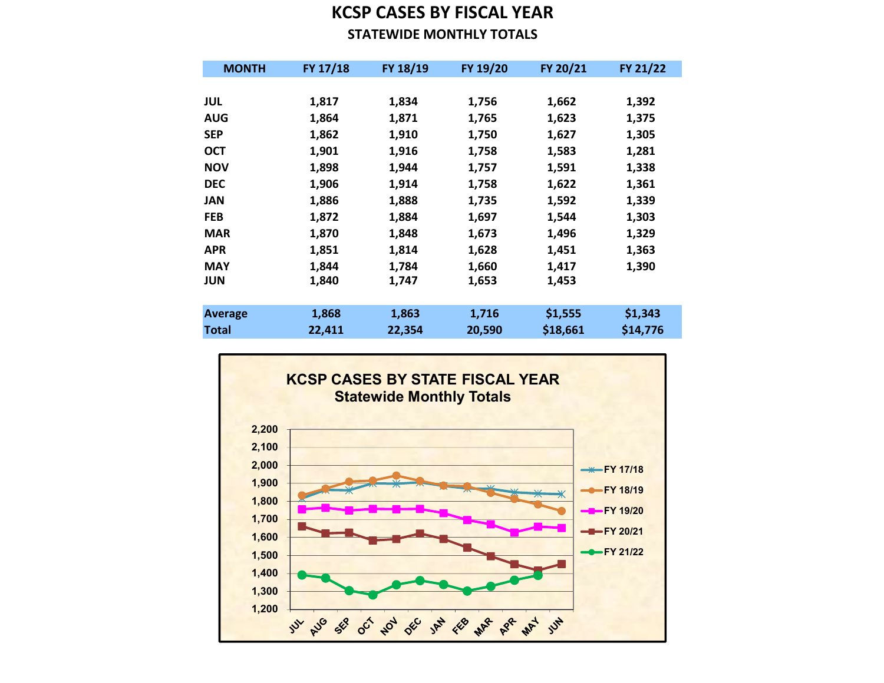## KCSP CASES BY FISCAL YEAR STATEWIDE MONTHLY TOTALS

| <b>MONTH</b>   | FY 17/18 | FY 18/19 | FY 19/20 | FY 20/21 | FY 21/22 |
|----------------|----------|----------|----------|----------|----------|
|                |          |          |          |          |          |
| JUL            | 1,817    | 1,834    | 1,756    | 1,662    | 1,392    |
| <b>AUG</b>     | 1,864    | 1,871    | 1,765    | 1,623    | 1,375    |
| <b>SEP</b>     | 1,862    | 1,910    | 1,750    | 1,627    | 1,305    |
| <b>OCT</b>     | 1,901    | 1,916    | 1,758    | 1,583    | 1,281    |
| <b>NOV</b>     | 1,898    | 1,944    | 1,757    | 1,591    | 1,338    |
| <b>DEC</b>     | 1,906    | 1,914    | 1,758    | 1,622    | 1,361    |
| <b>JAN</b>     | 1,886    | 1,888    | 1,735    | 1,592    | 1,339    |
| <b>FEB</b>     | 1,872    | 1,884    | 1,697    | 1,544    | 1,303    |
| <b>MAR</b>     | 1,870    | 1,848    | 1,673    | 1,496    | 1,329    |
| <b>APR</b>     | 1,851    | 1,814    | 1,628    | 1,451    | 1,363    |
| <b>MAY</b>     | 1,844    | 1,784    | 1,660    | 1,417    | 1,390    |
| JUN            | 1,840    | 1,747    | 1,653    | 1,453    |          |
|                |          |          |          |          |          |
| <b>Average</b> | 1,868    | 1,863    | 1,716    | \$1,555  | \$1,343  |
| Total          | 22,411   | 22,354   | 20,590   | \$18,661 | \$14,776 |

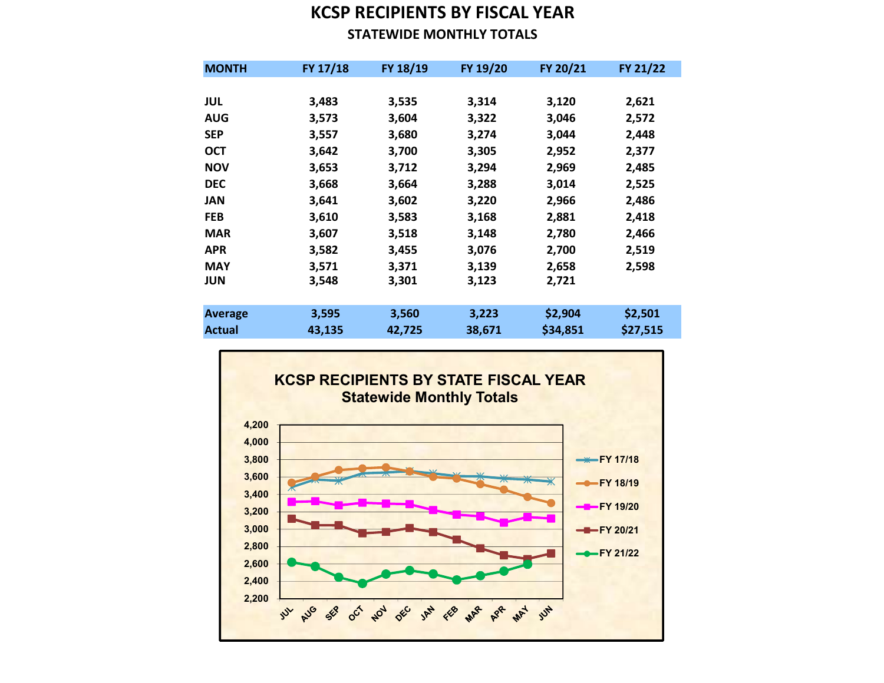## KCSP RECIPIENTS BY FISCAL YEAR STATEWIDE MONTHLY TOTALS

| <b>MONTH</b>  | FY 17/18 | FY 18/19 | FY 19/20 | FY 20/21 | FY 21/22 |
|---------------|----------|----------|----------|----------|----------|
|               |          |          |          |          |          |
| <b>JUL</b>    | 3,483    | 3,535    | 3,314    | 3,120    | 2,621    |
| <b>AUG</b>    | 3,573    | 3,604    | 3,322    | 3,046    | 2,572    |
| <b>SEP</b>    | 3,557    | 3,680    | 3,274    | 3,044    | 2,448    |
| <b>OCT</b>    | 3,642    | 3,700    | 3,305    | 2,952    | 2,377    |
| <b>NOV</b>    | 3,653    | 3,712    | 3,294    | 2,969    | 2,485    |
| <b>DEC</b>    | 3,668    | 3,664    | 3,288    | 3,014    | 2,525    |
| JAN           | 3,641    | 3,602    | 3,220    | 2,966    | 2,486    |
| <b>FEB</b>    | 3,610    | 3,583    | 3,168    | 2,881    | 2,418    |
| <b>MAR</b>    | 3,607    | 3,518    | 3,148    | 2,780    | 2,466    |
| <b>APR</b>    | 3,582    | 3,455    | 3,076    | 2,700    | 2,519    |
| <b>MAY</b>    | 3,571    | 3,371    | 3,139    | 2,658    | 2,598    |
| <b>JUN</b>    | 3,548    | 3,301    | 3,123    | 2,721    |          |
|               |          |          |          |          |          |
| Average       | 3,595    | 3,560    | 3,223    | \$2,904  | \$2,501  |
| <b>Actual</b> | 43,135   | 42,725   | 38,671   | \$34,851 | \$27,515 |